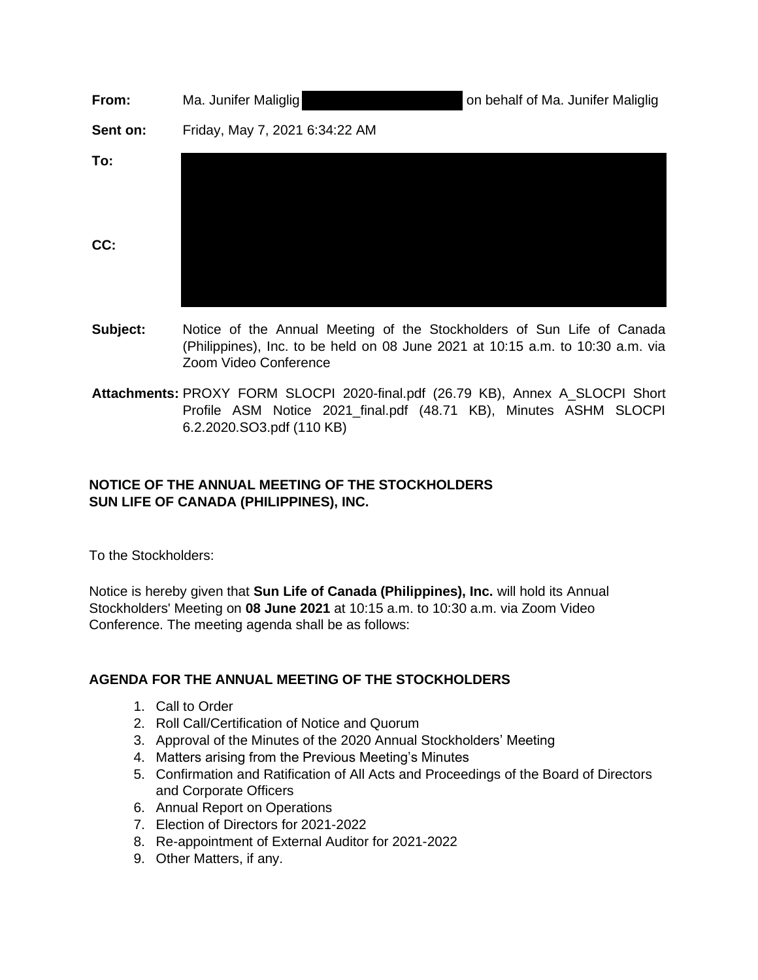| From:      | Ma. Junifer Maliglig           | on behalf of Ma. Junifer Maliglig |
|------------|--------------------------------|-----------------------------------|
| Sent on:   | Friday, May 7, 2021 6:34:22 AM |                                   |
| To:<br>CC: |                                |                                   |

- **Subject:** Notice of the Annual Meeting of the Stockholders of Sun Life of Canada (Philippines), Inc. to be held on 08 June 2021 at 10:15 a.m. to 10:30 a.m. via Zoom Video Conference
- **Attachments:** PROXY FORM SLOCPI 2020-final.pdf (26.79 KB), Annex A\_SLOCPI Short Profile ASM Notice 2021 final.pdf (48.71 KB), Minutes ASHM SLOCPI 6.2.2020.SO3.pdf (110 KB)

## **NOTICE OF THE ANNUAL MEETING OF THE STOCKHOLDERS SUN LIFE OF CANADA (PHILIPPINES), INC.**

To the Stockholders:

Notice is hereby given that **Sun Life of Canada (Philippines), Inc.** will hold its Annual Stockholders' Meeting on **08 June 2021** at 10:15 a.m. to 10:30 a.m. via Zoom Video Conference. The meeting agenda shall be as follows:

## **AGENDA FOR THE ANNUAL MEETING OF THE STOCKHOLDERS**

- 1. Call to Order
- 2. Roll Call/Certification of Notice and Quorum
- 3. Approval of the Minutes of the 2020 Annual Stockholders' Meeting
- 4. Matters arising from the Previous Meeting's Minutes
- 5. Confirmation and Ratification of All Acts and Proceedings of the Board of Directors and Corporate Officers
- 6. Annual Report on Operations
- 7. Election of Directors for 2021-2022
- 8. Re-appointment of External Auditor for 2021-2022
- 9. Other Matters, if any.